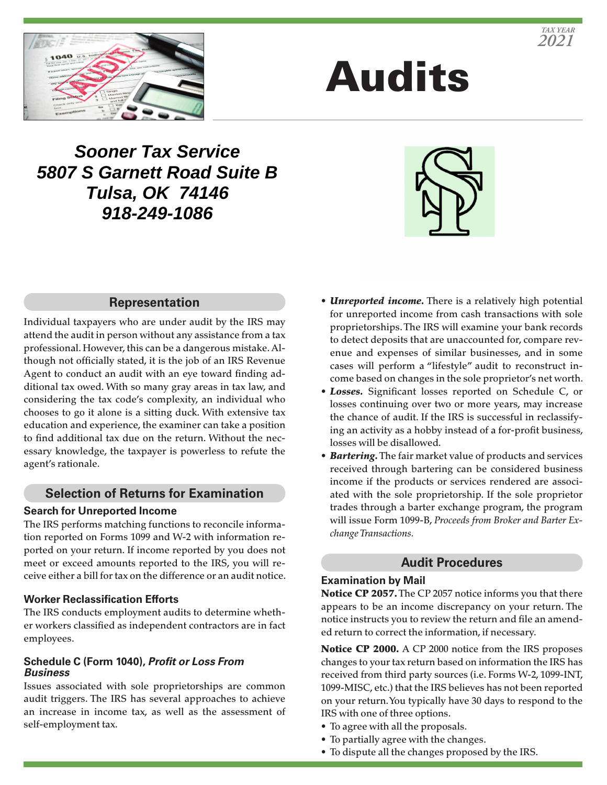

# Audits

## **Sooner Tax Service 5807 S Garnett Road Suite B Tulsa, OK 74146 918-249-1086**



#### **Representation**

Individual taxpayers who are under audit by the IRS may attend the audit in person without any assistance from a tax professional. However, this can be a dangerous mistake. Although not officially stated, it is the job of an IRS Revenue Agent to conduct an audit with an eye toward finding additional tax owed. With so many gray areas in tax law, and considering the tax code's complexity, an individual who chooses to go it alone is a sitting duck. With extensive tax education and experience, the examiner can take a position to find additional tax due on the return. Without the necessary knowledge, the taxpayer is powerless to refute the agent's rationale.

#### **Selection of Returns for Examination**

#### **Search for Unreported Income**

The IRS performs matching functions to reconcile information reported on Forms 1099 and W-2 with information reported on your return. If income reported by you does not meet or exceed amounts reported to the IRS, you will receive either a bill for tax on the difference or an audit notice.

#### **Worker Reclassification Efforts**

The IRS conducts employment audits to determine whether workers classified as independent contractors are in fact employees.

#### **Schedule C (Form 1040),** *Profit or Loss From Business*

Issues associated with sole proprietorships are common audit triggers. The IRS has several approaches to achieve an increase in income tax, as well as the assessment of self-employment tax.

- *Unreported income.* There is a relatively high potential for unreported income from cash transactions with sole proprietorships. The IRS will examine your bank records to detect deposits that are unaccounted for, compare revenue and expenses of similar businesses, and in some cases will perform a "lifestyle" audit to reconstruct income based on changes in the sole proprietor's net worth.
- *Losses.* Significant losses reported on Schedule C, or losses continuing over two or more years, may increase the chance of audit. If the IRS is successful in reclassifying an activity as a hobby instead of a for-profit business, losses will be disallowed.
- *Bartering.* The fair market value of products and services received through bartering can be considered business income if the products or services rendered are associated with the sole proprietorship. If the sole proprietor trades through a barter exchange program, the program will issue Form 1099-B, *Proceeds from Broker and Barter Exchange Transactions.*

#### **Audit Procedures**

#### **Examination by Mail**

Notice CP 2057. The CP 2057 notice informs you that there appears to be an income discrepancy on your return. The notice instructs you to review the return and file an amended return to correct the information, if necessary.

Notice CP 2000. A CP 2000 notice from the IRS proposes changes to your tax return based on information the IRS has received from third party sources (i.e. Forms W-2, 1099-INT, 1099-MISC, etc.) that the IRS believes has not been reported on your return. You typically have 30 days to respond to the IRS with one of three options.

- To agree with all the proposals.
- To partially agree with the changes.
- To dispute all the changes proposed by the IRS.